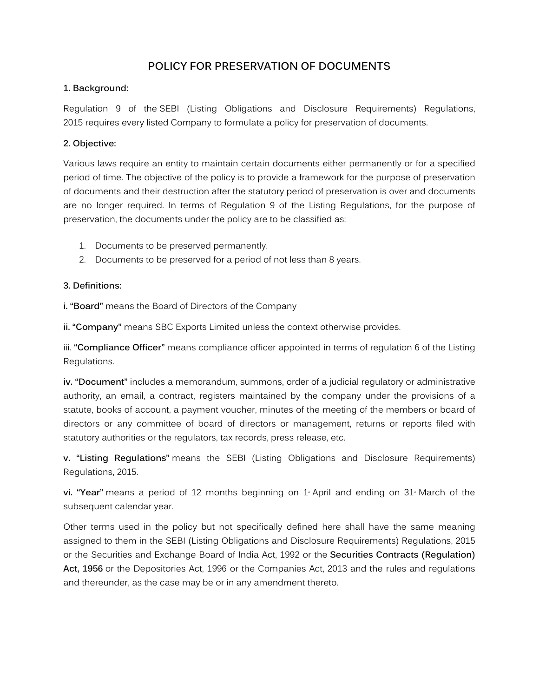## **POLICY FOR PRESERVATION OF DOCUMENTS**

#### **1. Background:**

Regulation 9 of the SEBI (Listing Obligations and Disclosure Requirements) Regulations, 2015 requires every listed Company to formulate a policy for preservation of documents.

### **2. Objective:**

Various laws require an entity to maintain certain documents either permanently or for a specified period of time. The objective of the policy is to provide a framework for the purpose of preservation of documents and their destruction after the statutory period of preservation is over and documents are no longer required. In terms of Regulation 9 of the Listing Regulations, for the purpose of preservation, the documents under the policy are to be classified as:

- 1. Documents to be preserved permanently.
- 2. Documents to be preserved for a period of not less than 8 years.

#### **3. Definitions:**

**i. "Board"** means the Board of Directors of the Company

**ii. "Company"** means SBC Exports Limited unless the context otherwise provides.

iii. **"Compliance Officer"** means compliance officer appointed in terms of regulation 6 of the Listing Regulations.

**iv. "Document"** includes a memorandum, summons, order of a judicial regulatory or administrative authority, an email, a contract, registers maintained by the company under the provisions of a statute, books of account, a payment voucher, minutes of the meeting of the members or board of directors or any committee of board of directors or management, returns or reports filed with statutory authorities or the regulators, tax records, press release, etc.

**v. "Listing Regulations"** means the SEBI (Listing Obligations and Disclosure Requirements) Regulations, 2015.

**vi. "Year"** means a period of 12 months beginning on 1<sup>®</sup> April and ending on 31<sup>®</sup> March of the subsequent calendar year.

Other terms used in the policy but not specifically defined here shall have the same meaning assigned to them in the SEBI (Listing Obligations and Disclosure Requirements) Regulations, 2015 or the Securities and Exchange Board of India Act, 1992 or the **Securities Contracts (Regulation) Act, 1956** or the Depositories Act, 1996 or the Companies Act, 2013 and the rules and regulations and thereunder, as the case may be or in any amendment thereto.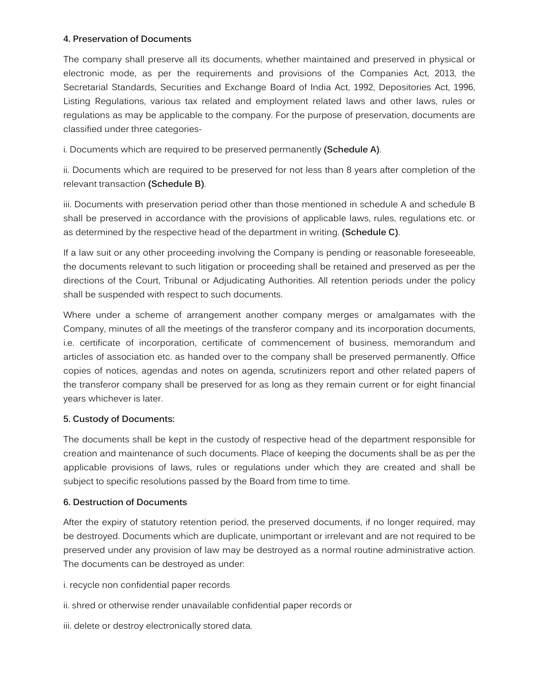### **4. Preservation of Documents**

The company shall preserve all its documents, whether maintained and preserved in physical or electronic mode, as per the requirements and provisions of the Companies Act, 2013, the Secretarial Standards, Securities and Exchange Board of India Act, 1992, Depositories Act, 1996, Listing Regulations, various tax related and employment related laws and other laws, rules or regulations as may be applicable to the company. For the purpose of preservation, documents are classified under three categories-

i. Documents which are required to be preserved permanently **(Schedule A)**.

ii. Documents which are required to be preserved for not less than 8 years after completion of the relevant transaction **(Schedule B)**.

iii. Documents with preservation period other than those mentioned in schedule A and schedule B shall be preserved in accordance with the provisions of applicable laws, rules, regulations etc. or as determined by the respective head of the department in writing. **(Schedule C)**.

If a law suit or any other proceeding involving the Company is pending or reasonable foreseeable, the documents relevant to such litigation or proceeding shall be retained and preserved as per the directions of the Court, Tribunal or Adjudicating Authorities. All retention periods under the policy shall be suspended with respect to such documents.

Where under a scheme of arrangement another company merges or amalgamates with the Company, minutes of all the meetings of the transferor company and its incorporation documents, i.e. certificate of incorporation, certificate of commencement of business, memorandum and articles of association etc. as handed over to the company shall be preserved permanently. Office copies of notices, agendas and notes on agenda, scrutinizers report and other related papers of the transferor company shall be preserved for as long as they remain current or for eight financial years whichever is later.

## **5. Custody of Documents:**

The documents shall be kept in the custody of respective head of the department responsible for creation and maintenance of such documents. Place of keeping the documents shall be as per the applicable provisions of laws, rules or regulations under which they are created and shall be subject to specific resolutions passed by the Board from time to time.

#### **6. Destruction of Documents**

After the expiry of statutory retention period, the preserved documents, if no longer required, may be destroyed. Documents which are duplicate, unimportant or irrelevant and are not required to be preserved under any provision of law may be destroyed as a normal routine administrative action. The documents can be destroyed as under:

i. recycle non confidential paper records

- ii. shred or otherwise render unavailable confidential paper records or
- iii. delete or destroy electronically stored data.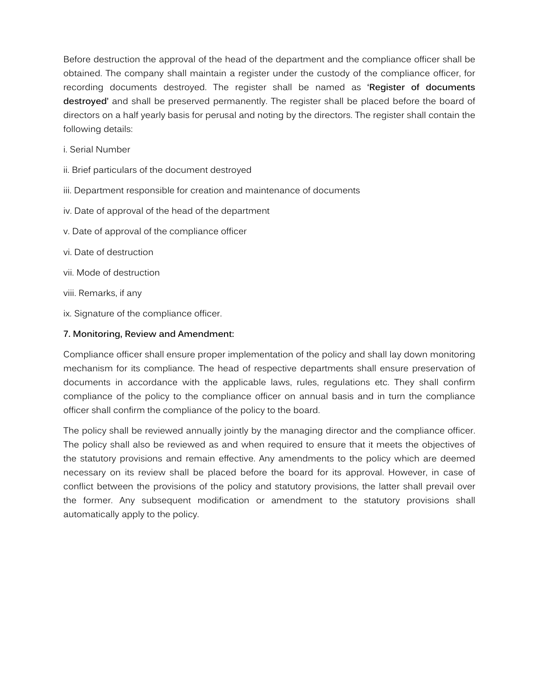Before destruction the approval of the head of the department and the compliance officer shall be obtained. The company shall maintain a register under the custody of the compliance officer, for recording documents destroyed. The register shall be named as **'Register of documents destroyed'** and shall be preserved permanently. The register shall be placed before the board of directors on a half yearly basis for perusal and noting by the directors. The register shall contain the following details:

- i. Serial Number
- ii. Brief particulars of the document destroyed
- iii. Department responsible for creation and maintenance of documents
- iv. Date of approval of the head of the department
- v. Date of approval of the compliance officer
- vi. Date of destruction
- vii. Mode of destruction
- viii. Remarks, if any
- ix. Signature of the compliance officer.

#### **7. Monitoring, Review and Amendment:**

Compliance officer shall ensure proper implementation of the policy and shall lay down monitoring mechanism for its compliance. The head of respective departments shall ensure preservation of documents in accordance with the applicable laws, rules, regulations etc. They shall confirm compliance of the policy to the compliance officer on annual basis and in turn the compliance officer shall confirm the compliance of the policy to the board.

The policy shall be reviewed annually jointly by the managing director and the compliance officer. The policy shall also be reviewed as and when required to ensure that it meets the objectives of the statutory provisions and remain effective. Any amendments to the policy which are deemed necessary on its review shall be placed before the board for its approval. However, in case of conflict between the provisions of the policy and statutory provisions, the latter shall prevail over the former. Any subsequent modification or amendment to the statutory provisions shall automatically apply to the policy.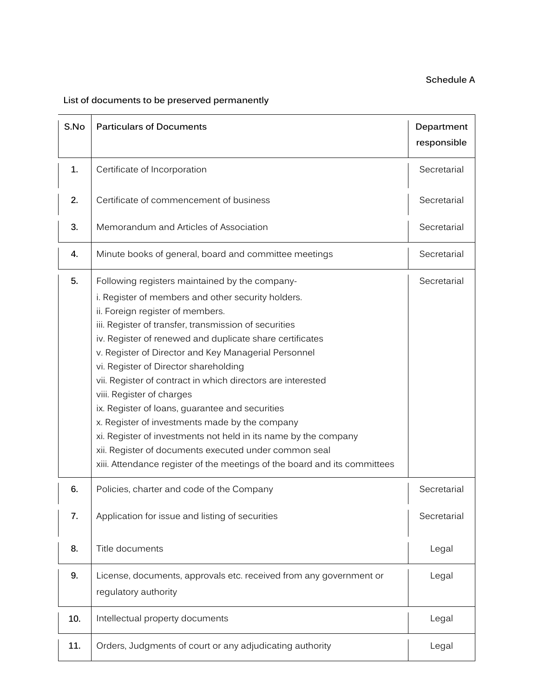## **Schedule A**

# **List of documents to be preserved permanently**

| S.No | <b>Particulars of Documents</b>                                                                                                                                                                                                                                                                                                                                                                                                                                                                                                                                                                                                                                                                                                                                          | Department<br>responsible |
|------|--------------------------------------------------------------------------------------------------------------------------------------------------------------------------------------------------------------------------------------------------------------------------------------------------------------------------------------------------------------------------------------------------------------------------------------------------------------------------------------------------------------------------------------------------------------------------------------------------------------------------------------------------------------------------------------------------------------------------------------------------------------------------|---------------------------|
| 1.   | Certificate of Incorporation                                                                                                                                                                                                                                                                                                                                                                                                                                                                                                                                                                                                                                                                                                                                             | Secretarial               |
| 2.   | Certificate of commencement of business                                                                                                                                                                                                                                                                                                                                                                                                                                                                                                                                                                                                                                                                                                                                  | Secretarial               |
| 3.   | Memorandum and Articles of Association                                                                                                                                                                                                                                                                                                                                                                                                                                                                                                                                                                                                                                                                                                                                   | Secretarial               |
| 4.   | Minute books of general, board and committee meetings                                                                                                                                                                                                                                                                                                                                                                                                                                                                                                                                                                                                                                                                                                                    | Secretarial               |
| 5.   | Following registers maintained by the company-<br>i. Register of members and other security holders.<br>ii. Foreign register of members.<br>iii. Register of transfer, transmission of securities<br>iv. Register of renewed and duplicate share certificates<br>v. Register of Director and Key Managerial Personnel<br>vi. Register of Director shareholding<br>vii. Register of contract in which directors are interested<br>viii. Register of charges<br>ix. Register of loans, guarantee and securities<br>x. Register of investments made by the company<br>xi. Register of investments not held in its name by the company<br>xii. Register of documents executed under common seal<br>xiii. Attendance register of the meetings of the board and its committees | Secretarial               |
| 6.   | Policies, charter and code of the Company                                                                                                                                                                                                                                                                                                                                                                                                                                                                                                                                                                                                                                                                                                                                | Secretarial               |
| 7.   | Application for issue and listing of securities                                                                                                                                                                                                                                                                                                                                                                                                                                                                                                                                                                                                                                                                                                                          | Secretarial               |
| 8.   | Title documents                                                                                                                                                                                                                                                                                                                                                                                                                                                                                                                                                                                                                                                                                                                                                          | Legal                     |
| 9.   | License, documents, approvals etc. received from any government or<br>regulatory authority                                                                                                                                                                                                                                                                                                                                                                                                                                                                                                                                                                                                                                                                               | Legal                     |
| 10.  | Intellectual property documents                                                                                                                                                                                                                                                                                                                                                                                                                                                                                                                                                                                                                                                                                                                                          | Legal                     |
| 11.  | Orders, Judgments of court or any adjudicating authority                                                                                                                                                                                                                                                                                                                                                                                                                                                                                                                                                                                                                                                                                                                 | Legal                     |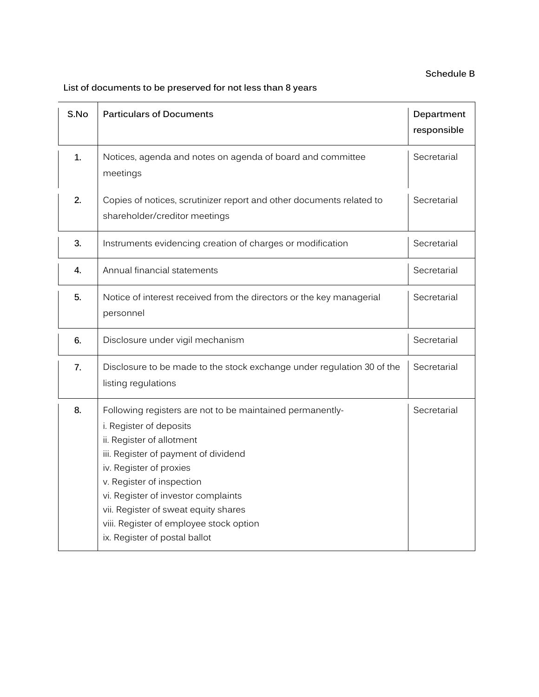## **Schedule B**

# **List of documents to be preserved for not less than 8 years**

| S.No         | <b>Particulars of Documents</b>                                                                                                                                                                                                                                                                                                                                              | Department<br>responsible |
|--------------|------------------------------------------------------------------------------------------------------------------------------------------------------------------------------------------------------------------------------------------------------------------------------------------------------------------------------------------------------------------------------|---------------------------|
| $\mathbf{1}$ | Notices, agenda and notes on agenda of board and committee<br>meetings                                                                                                                                                                                                                                                                                                       | Secretarial               |
| 2.           | Copies of notices, scrutinizer report and other documents related to<br>shareholder/creditor meetings                                                                                                                                                                                                                                                                        | Secretarial               |
| 3.           | Instruments evidencing creation of charges or modification                                                                                                                                                                                                                                                                                                                   | Secretarial               |
| 4.           | Annual financial statements                                                                                                                                                                                                                                                                                                                                                  | Secretarial               |
| 5.           | Notice of interest received from the directors or the key managerial<br>personnel                                                                                                                                                                                                                                                                                            | Secretarial               |
| 6.           | Disclosure under vigil mechanism                                                                                                                                                                                                                                                                                                                                             | Secretarial               |
| 7.           | Disclosure to be made to the stock exchange under regulation 30 of the<br>listing regulations                                                                                                                                                                                                                                                                                | Secretarial               |
| 8.           | Following registers are not to be maintained permanently-<br>i. Register of deposits<br>ii. Register of allotment<br>iii. Register of payment of dividend<br>iv. Register of proxies<br>v. Register of inspection<br>vi. Register of investor complaints<br>vii. Register of sweat equity shares<br>viii. Register of employee stock option<br>ix. Register of postal ballot | Secretarial               |